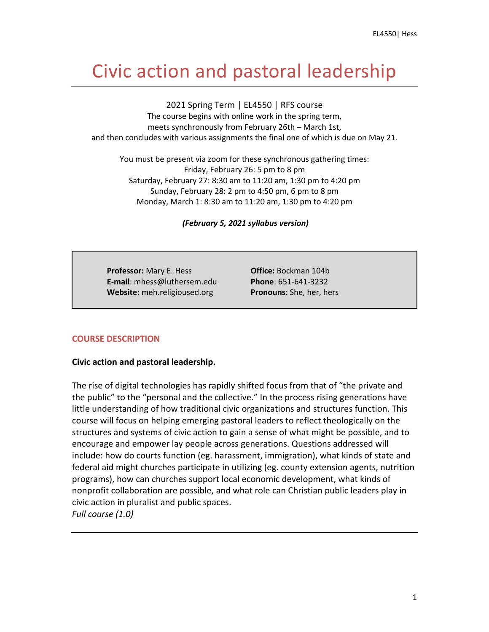# Civic action and pastoral leadership

2021 Spring Term | EL4550 | RFS course

The course begins with online work in the spring term, meets synchronously from February 26th – March 1st, and then concludes with various assignments the final one of which is due on May 21.

You must be present via zoom for these synchronous gathering times: Friday, February 26: 5 pm to 8 pm Saturday, February 27: 8:30 am to 11:20 am, 1:30 pm to 4:20 pm Sunday, February 28: 2 pm to 4:50 pm, 6 pm to 8 pm Monday, March 1: 8:30 am to 11:20 am, 1:30 pm to 4:20 pm

*(February 5, 2021 syllabus version)*

 **Professor:** Mary E. Hess **Office:** Bockman 104b  **E-mail**: mhess@luthersem.edu **Phone**: 651-641-3232 **Website:** meh.religioused.org **Pronouns**: She, her, hers

## **COURSE DESCRIPTION**

## **Civic action and pastoral leadership.**

The rise of digital technologies has rapidly shifted focus from that of "the private and the public" to the "personal and the collective." In the process rising generations have little understanding of how traditional civic organizations and structures function. This course will focus on helping emerging pastoral leaders to reflect theologically on the structures and systems of civic action to gain a sense of what might be possible, and to encourage and empower lay people across generations. Questions addressed will include: how do courts function (eg. harassment, immigration), what kinds of state and federal aid might churches participate in utilizing (eg. county extension agents, nutrition programs), how can churches support local economic development, what kinds of nonprofit collaboration are possible, and what role can Christian public leaders play in civic action in pluralist and public spaces. *Full course (1.0)*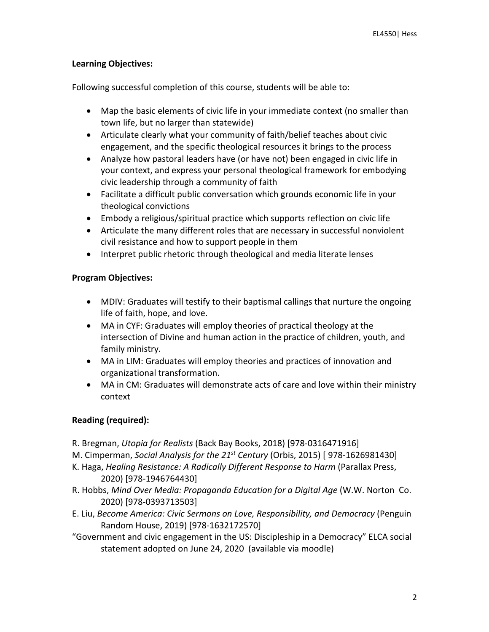## **Learning Objectives:**

Following successful completion of this course, students will be able to:

- Map the basic elements of civic life in your immediate context (no smaller than town life, but no larger than statewide)
- Articulate clearly what your community of faith/belief teaches about civic engagement, and the specific theological resources it brings to the process
- Analyze how pastoral leaders have (or have not) been engaged in civic life in your context, and express your personal theological framework for embodying civic leadership through a community of faith
- Facilitate a difficult public conversation which grounds economic life in your theological convictions
- Embody a religious/spiritual practice which supports reflection on civic life
- Articulate the many different roles that are necessary in successful nonviolent civil resistance and how to support people in them
- Interpret public rhetoric through theological and media literate lenses

## **Program Objectives:**

- MDIV: Graduates will testify to their baptismal callings that nurture the ongoing life of faith, hope, and love.
- MA in CYF: Graduates will employ theories of practical theology at the intersection of Divine and human action in the practice of children, youth, and family ministry.
- MA in LIM: Graduates will employ theories and practices of innovation and organizational transformation.
- MA in CM: Graduates will demonstrate acts of care and love within their ministry context

## **Reading (required):**

R. Bregman, *Utopia for Realists* (Back Bay Books, 2018) [978-0316471916]

M. Cimperman, *Social Analysis for the 21st Century* (Orbis, 2015) [ 978-1626981430]

- K. Haga, *Healing Resistance: A Radically Different Response to Harm* (Parallax Press, 2020) [978-1946764430]
- R. Hobbs, *Mind Over Media: Propaganda Education for a Digital Age* (W.W. Norton Co. 2020) [978-0393713503]
- E. Liu, *Become America: Civic Sermons on Love, Responsibility, and Democracy* (Penguin Random House, 2019) [978-1632172570]
- "Government and civic engagement in the US: Discipleship in a Democracy" ELCA social statement adopted on June 24, 2020 (available via moodle)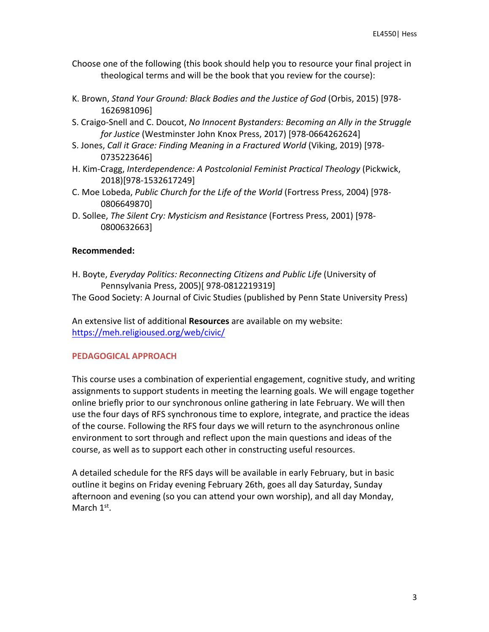Choose one of the following (this book should help you to resource your final project in theological terms and will be the book that you review for the course):

- K. Brown, *Stand Your Ground: Black Bodies and the Justice of God* (Orbis, 2015) [978- 1626981096]
- S. Craigo-Snell and C. Doucot, *No Innocent Bystanders: Becoming an Ally in the Struggle for Justice* (Westminster John Knox Press, 2017) [978-0664262624]
- S. Jones, *Call it Grace: Finding Meaning in a Fractured World* (Viking, 2019) [978- 0735223646]
- H. Kim-Cragg, *Interdependence: A Postcolonial Feminist Practical Theology* (Pickwick, 2018)[978-1532617249]
- C. Moe Lobeda, *Public Church for the Life of the World* (Fortress Press, 2004) [978- 0806649870]
- D. Sollee, *The Silent Cry: Mysticism and Resistance* (Fortress Press, 2001) [978- 0800632663]

## **Recommended:**

H. Boyte, *Everyday Politics: Reconnecting Citizens and Public Life* (University of Pennsylvania Press, 2005)[ 978-0812219319]

The Good Society: A Journal of Civic Studies (published by Penn State University Press)

An extensive list of additional **Resources** are available on my website: https://meh.religioused.org/web/civic/

## **PEDAGOGICAL APPROACH**

This course uses a combination of experiential engagement, cognitive study, and writing assignments to support students in meeting the learning goals. We will engage together online briefly prior to our synchronous online gathering in late February. We will then use the four days of RFS synchronous time to explore, integrate, and practice the ideas of the course. Following the RFS four days we will return to the asynchronous online environment to sort through and reflect upon the main questions and ideas of the course, as well as to support each other in constructing useful resources.

A detailed schedule for the RFS days will be available in early February, but in basic outline it begins on Friday evening February 26th, goes all day Saturday, Sunday afternoon and evening (so you can attend your own worship), and all day Monday, March 1<sup>st</sup>.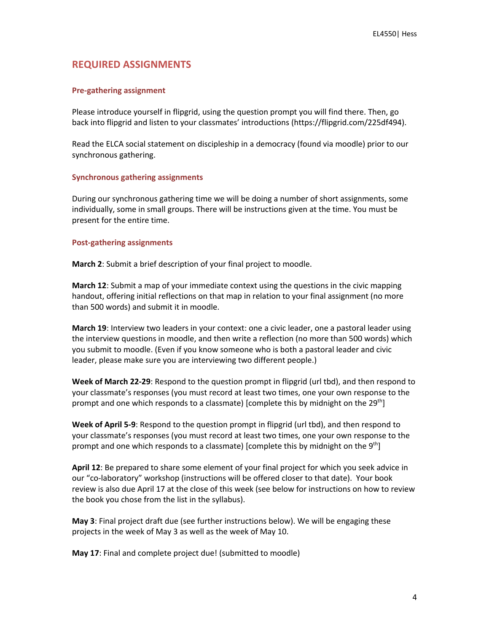## **REQUIRED ASSIGNMENTS**

#### **Pre-gathering assignment**

Please introduce yourself in flipgrid, using the question prompt you will find there. Then, go back into flipgrid and listen to your classmates' introductions (https://flipgrid.com/225df494).

Read the ELCA social statement on discipleship in a democracy (found via moodle) prior to our synchronous gathering.

#### **Synchronous gathering assignments**

During our synchronous gathering time we will be doing a number of short assignments, some individually, some in small groups. There will be instructions given at the time. You must be present for the entire time.

#### **Post-gathering assignments**

**March 2**: Submit a brief description of your final project to moodle.

**March 12**: Submit a map of your immediate context using the questions in the civic mapping handout, offering initial reflections on that map in relation to your final assignment (no more than 500 words) and submit it in moodle.

**March 19**: Interview two leaders in your context: one a civic leader, one a pastoral leader using the interview questions in moodle, and then write a reflection (no more than 500 words) which you submit to moodle. (Even if you know someone who is both a pastoral leader and civic leader, please make sure you are interviewing two different people.)

**Week of March 22-29**: Respond to the question prompt in flipgrid (url tbd), and then respond to your classmate's responses (you must record at least two times, one your own response to the prompt and one which responds to a classmate) [complete this by midnight on the 29<sup>th</sup>]

**Week of April 5-9**: Respond to the question prompt in flipgrid (url tbd), and then respond to your classmate's responses (you must record at least two times, one your own response to the prompt and one which responds to a classmate) [complete this by midnight on the  $9<sup>th</sup>$ ]

**April 12**: Be prepared to share some element of your final project for which you seek advice in our "co-laboratory" workshop (instructions will be offered closer to that date). Your book review is also due April 17 at the close of this week (see below for instructions on how to review the book you chose from the list in the syllabus).

**May 3**: Final project draft due (see further instructions below). We will be engaging these projects in the week of May 3 as well as the week of May 10.

**May 17**: Final and complete project due! (submitted to moodle)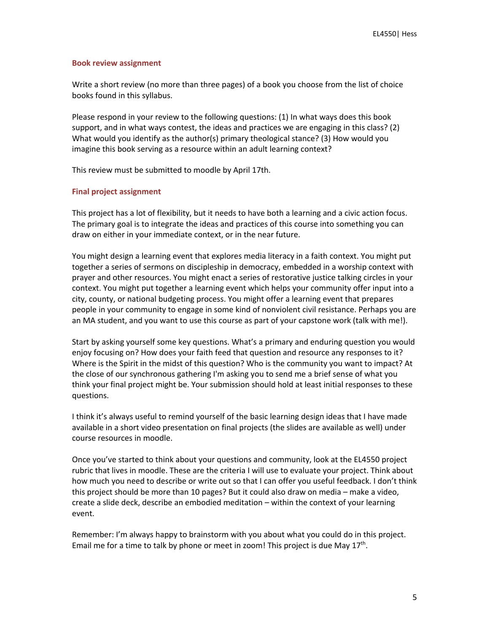#### **Book review assignment**

Write a short review (no more than three pages) of a book you choose from the list of choice books found in this syllabus.

Please respond in your review to the following questions: (1) In what ways does this book support, and in what ways contest, the ideas and practices we are engaging in this class? (2) What would you identify as the author(s) primary theological stance? (3) How would you imagine this book serving as a resource within an adult learning context?

This review must be submitted to moodle by April 17th.

#### **Final project assignment**

This project has a lot of flexibility, but it needs to have both a learning and a civic action focus. The primary goal is to integrate the ideas and practices of this course into something you can draw on either in your immediate context, or in the near future.

You might design a learning event that explores media literacy in a faith context. You might put together a series of sermons on discipleship in democracy, embedded in a worship context with prayer and other resources. You might enact a series of restorative justice talking circles in your context. You might put together a learning event which helps your community offer input into a city, county, or national budgeting process. You might offer a learning event that prepares people in your community to engage in some kind of nonviolent civil resistance. Perhaps you are an MA student, and you want to use this course as part of your capstone work (talk with me!).

Start by asking yourself some key questions. What's a primary and enduring question you would enjoy focusing on? How does your faith feed that question and resource any responses to it? Where is the Spirit in the midst of this question? Who is the community you want to impact? At the close of our synchronous gathering I'm asking you to send me a brief sense of what you think your final project might be. Your submission should hold at least initial responses to these questions.

I think it's always useful to remind yourself of the basic learning design ideas that I have made available in a short video presentation on final projects (the slides are available as well) under course resources in moodle.

Once you've started to think about your questions and community, look at the EL4550 project rubric that lives in moodle. These are the criteria I will use to evaluate your project. Think about how much you need to describe or write out so that I can offer you useful feedback. I don't think this project should be more than 10 pages? But it could also draw on media – make a video, create a slide deck, describe an embodied meditation – within the context of your learning event.

Remember: I'm always happy to brainstorm with you about what you could do in this project. Email me for a time to talk by phone or meet in zoom! This project is due May  $17<sup>th</sup>$ .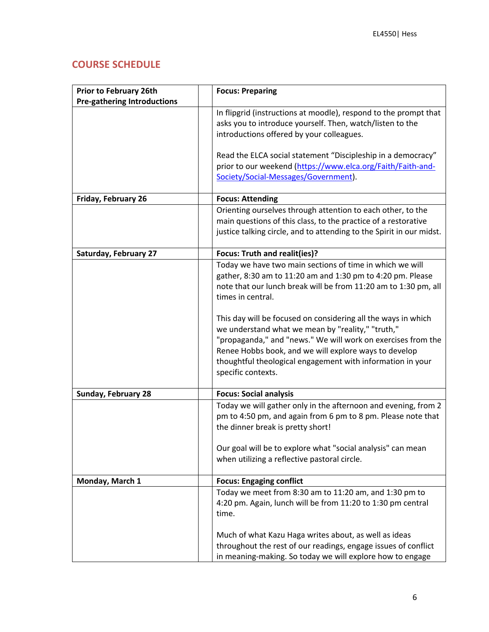## **COURSE SCHEDULE**

| <b>Prior to February 26th</b>      | <b>Focus: Preparing</b>                                                                                                                                                                                                                                                                                                         |
|------------------------------------|---------------------------------------------------------------------------------------------------------------------------------------------------------------------------------------------------------------------------------------------------------------------------------------------------------------------------------|
| <b>Pre-gathering Introductions</b> |                                                                                                                                                                                                                                                                                                                                 |
|                                    | In flipgrid (instructions at moodle), respond to the prompt that<br>asks you to introduce yourself. Then, watch/listen to the<br>introductions offered by your colleagues.                                                                                                                                                      |
|                                    | Read the ELCA social statement "Discipleship in a democracy"<br>prior to our weekend (https://www.elca.org/Faith/Faith-and-<br>Society/Social-Messages/Government).                                                                                                                                                             |
| Friday, February 26                | <b>Focus: Attending</b>                                                                                                                                                                                                                                                                                                         |
|                                    | Orienting ourselves through attention to each other, to the<br>main questions of this class, to the practice of a restorative<br>justice talking circle, and to attending to the Spirit in our midst.                                                                                                                           |
| Saturday, February 27              | Focus: Truth and realit(ies)?                                                                                                                                                                                                                                                                                                   |
|                                    | Today we have two main sections of time in which we will<br>gather, 8:30 am to 11:20 am and 1:30 pm to 4:20 pm. Please<br>note that our lunch break will be from 11:20 am to 1:30 pm, all<br>times in central.                                                                                                                  |
|                                    | This day will be focused on considering all the ways in which<br>we understand what we mean by "reality," "truth,"<br>"propaganda," and "news." We will work on exercises from the<br>Renee Hobbs book, and we will explore ways to develop<br>thoughtful theological engagement with information in your<br>specific contexts. |
| Sunday, February 28                | <b>Focus: Social analysis</b>                                                                                                                                                                                                                                                                                                   |
|                                    | Today we will gather only in the afternoon and evening, from 2<br>pm to 4:50 pm, and again from 6 pm to 8 pm. Please note that<br>the dinner break is pretty short!<br>Our goal will be to explore what "social analysis" can mean<br>when utilizing a reflective pastoral circle.                                              |
| Monday, March 1                    | <b>Focus: Engaging conflict</b>                                                                                                                                                                                                                                                                                                 |
|                                    | Today we meet from 8:30 am to 11:20 am, and 1:30 pm to<br>4:20 pm. Again, lunch will be from 11:20 to 1:30 pm central<br>time.                                                                                                                                                                                                  |
|                                    | Much of what Kazu Haga writes about, as well as ideas<br>throughout the rest of our readings, engage issues of conflict<br>in meaning-making. So today we will explore how to engage                                                                                                                                            |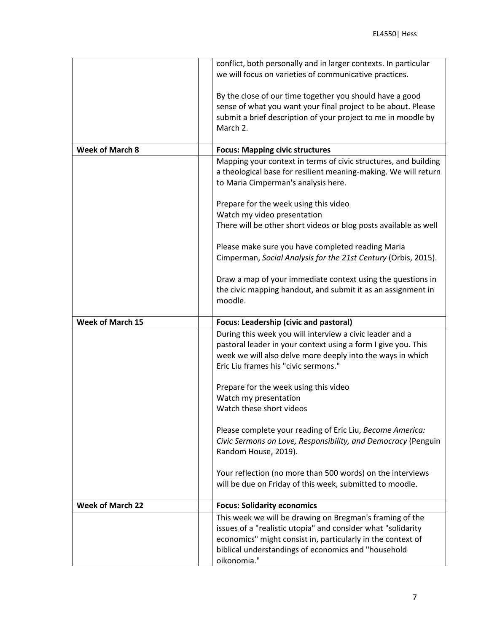|                         | conflict, both personally and in larger contexts. In particular<br>we will focus on varieties of communicative practices.                                                                                                                                     |
|-------------------------|---------------------------------------------------------------------------------------------------------------------------------------------------------------------------------------------------------------------------------------------------------------|
|                         | By the close of our time together you should have a good<br>sense of what you want your final project to be about. Please<br>submit a brief description of your project to me in moodle by<br>March 2.                                                        |
| <b>Week of March 8</b>  | <b>Focus: Mapping civic structures</b>                                                                                                                                                                                                                        |
|                         | Mapping your context in terms of civic structures, and building<br>a theological base for resilient meaning-making. We will return<br>to Maria Cimperman's analysis here.                                                                                     |
|                         | Prepare for the week using this video                                                                                                                                                                                                                         |
|                         | Watch my video presentation                                                                                                                                                                                                                                   |
|                         | There will be other short videos or blog posts available as well                                                                                                                                                                                              |
|                         | Please make sure you have completed reading Maria<br>Cimperman, Social Analysis for the 21st Century (Orbis, 2015).                                                                                                                                           |
|                         | Draw a map of your immediate context using the questions in<br>the civic mapping handout, and submit it as an assignment in                                                                                                                                   |
|                         | moodle.                                                                                                                                                                                                                                                       |
| <b>Week of March 15</b> | <b>Focus: Leadership (civic and pastoral)</b>                                                                                                                                                                                                                 |
|                         | During this week you will interview a civic leader and a                                                                                                                                                                                                      |
|                         | pastoral leader in your context using a form I give you. This<br>week we will also delve more deeply into the ways in which<br>Eric Liu frames his "civic sermons."                                                                                           |
|                         | Prepare for the week using this video                                                                                                                                                                                                                         |
|                         | Watch my presentation                                                                                                                                                                                                                                         |
|                         | Watch these short videos                                                                                                                                                                                                                                      |
|                         | Please complete your reading of Eric Liu, Become America:<br>Civic Sermons on Love, Responsibility, and Democracy (Penguin<br>Random House, 2019).                                                                                                            |
|                         | Your reflection (no more than 500 words) on the interviews<br>will be due on Friday of this week, submitted to moodle.                                                                                                                                        |
| <b>Week of March 22</b> | <b>Focus: Solidarity economics</b>                                                                                                                                                                                                                            |
|                         | This week we will be drawing on Bregman's framing of the<br>issues of a "realistic utopia" and consider what "solidarity<br>economics" might consist in, particularly in the context of<br>biblical understandings of economics and "household<br>oikonomia." |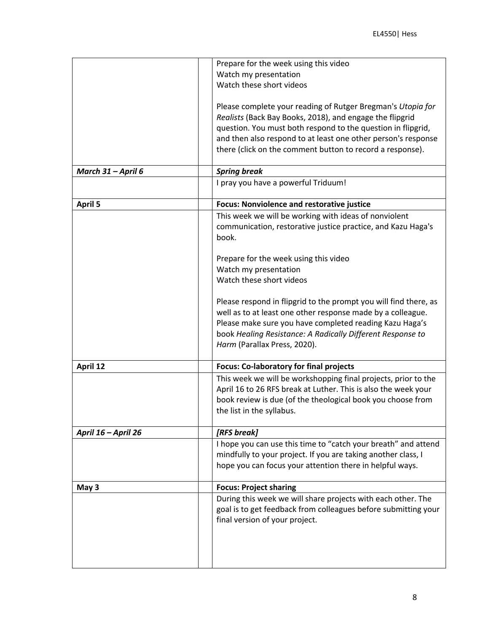|                     | Prepare for the week using this video                                                                                                                                                                                                                                                                                 |
|---------------------|-----------------------------------------------------------------------------------------------------------------------------------------------------------------------------------------------------------------------------------------------------------------------------------------------------------------------|
|                     | Watch my presentation                                                                                                                                                                                                                                                                                                 |
|                     | Watch these short videos                                                                                                                                                                                                                                                                                              |
|                     | Please complete your reading of Rutger Bregman's Utopia for<br>Realists (Back Bay Books, 2018), and engage the flipgrid<br>question. You must both respond to the question in flipgrid,<br>and then also respond to at least one other person's response<br>there (click on the comment button to record a response). |
| March 31 - April 6  | <b>Spring break</b>                                                                                                                                                                                                                                                                                                   |
|                     | I pray you have a powerful Triduum!                                                                                                                                                                                                                                                                                   |
| <b>April 5</b>      | <b>Focus: Nonviolence and restorative justice</b>                                                                                                                                                                                                                                                                     |
|                     | This week we will be working with ideas of nonviolent                                                                                                                                                                                                                                                                 |
|                     | communication, restorative justice practice, and Kazu Haga's<br>book.                                                                                                                                                                                                                                                 |
|                     | Prepare for the week using this video                                                                                                                                                                                                                                                                                 |
|                     | Watch my presentation                                                                                                                                                                                                                                                                                                 |
|                     | Watch these short videos                                                                                                                                                                                                                                                                                              |
|                     |                                                                                                                                                                                                                                                                                                                       |
|                     | Please respond in flipgrid to the prompt you will find there, as                                                                                                                                                                                                                                                      |
|                     | well as to at least one other response made by a colleague.                                                                                                                                                                                                                                                           |
|                     | Please make sure you have completed reading Kazu Haga's                                                                                                                                                                                                                                                               |
|                     | book Healing Resistance: A Radically Different Response to                                                                                                                                                                                                                                                            |
|                     | Harm (Parallax Press, 2020).                                                                                                                                                                                                                                                                                          |
|                     |                                                                                                                                                                                                                                                                                                                       |
| April 12            | <b>Focus: Co-laboratory for final projects</b>                                                                                                                                                                                                                                                                        |
|                     | This week we will be workshopping final projects, prior to the                                                                                                                                                                                                                                                        |
|                     | April 16 to 26 RFS break at Luther. This is also the week your                                                                                                                                                                                                                                                        |
|                     | book review is due (of the theological book you choose from                                                                                                                                                                                                                                                           |
|                     | the list in the syllabus.                                                                                                                                                                                                                                                                                             |
| April 16 - April 26 | [RFS break]                                                                                                                                                                                                                                                                                                           |
|                     | I hope you can use this time to "catch your breath" and attend                                                                                                                                                                                                                                                        |
|                     | mindfully to your project. If you are taking another class, I                                                                                                                                                                                                                                                         |
|                     | hope you can focus your attention there in helpful ways.                                                                                                                                                                                                                                                              |
| May 3               | <b>Focus: Project sharing</b>                                                                                                                                                                                                                                                                                         |
|                     | During this week we will share projects with each other. The                                                                                                                                                                                                                                                          |
|                     | goal is to get feedback from colleagues before submitting your                                                                                                                                                                                                                                                        |
|                     | final version of your project.                                                                                                                                                                                                                                                                                        |
|                     |                                                                                                                                                                                                                                                                                                                       |
|                     |                                                                                                                                                                                                                                                                                                                       |
|                     |                                                                                                                                                                                                                                                                                                                       |
|                     |                                                                                                                                                                                                                                                                                                                       |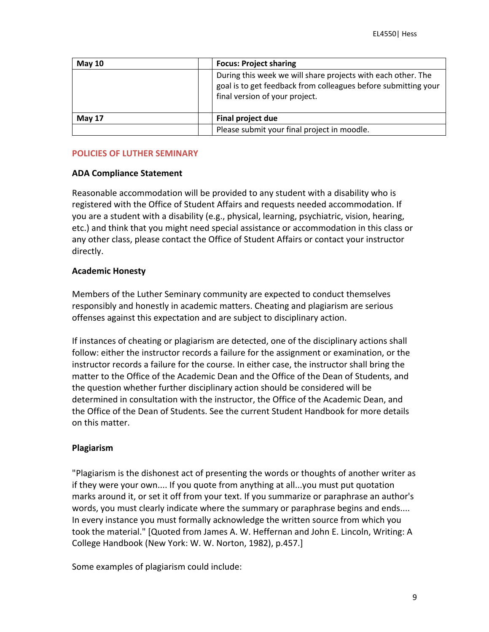| <b>May 10</b> | <b>Focus: Project sharing</b>                                                                                                                                    |
|---------------|------------------------------------------------------------------------------------------------------------------------------------------------------------------|
|               | During this week we will share projects with each other. The<br>goal is to get feedback from colleagues before submitting your<br>final version of your project. |
| May 17        | Final project due                                                                                                                                                |
|               | Please submit your final project in moodle.                                                                                                                      |

## **POLICIES OF LUTHER SEMINARY**

## **ADA Compliance Statement**

Reasonable accommodation will be provided to any student with a disability who is registered with the Office of Student Affairs and requests needed accommodation. If you are a student with a disability (e.g., physical, learning, psychiatric, vision, hearing, etc.) and think that you might need special assistance or accommodation in this class or any other class, please contact the Office of Student Affairs or contact your instructor directly.

## **Academic Honesty**

Members of the Luther Seminary community are expected to conduct themselves responsibly and honestly in academic matters. Cheating and plagiarism are serious offenses against this expectation and are subject to disciplinary action.

If instances of cheating or plagiarism are detected, one of the disciplinary actions shall follow: either the instructor records a failure for the assignment or examination, or the instructor records a failure for the course. In either case, the instructor shall bring the matter to the Office of the Academic Dean and the Office of the Dean of Students, and the question whether further disciplinary action should be considered will be determined in consultation with the instructor, the Office of the Academic Dean, and the Office of the Dean of Students. See the current Student Handbook for more details on this matter.

## **Plagiarism**

"Plagiarism is the dishonest act of presenting the words or thoughts of another writer as if they were your own.... If you quote from anything at all...you must put quotation marks around it, or set it off from your text. If you summarize or paraphrase an author's words, you must clearly indicate where the summary or paraphrase begins and ends.... In every instance you must formally acknowledge the written source from which you took the material." [Quoted from James A. W. Heffernan and John E. Lincoln, Writing: A College Handbook (New York: W. W. Norton, 1982), p.457.]

Some examples of plagiarism could include: